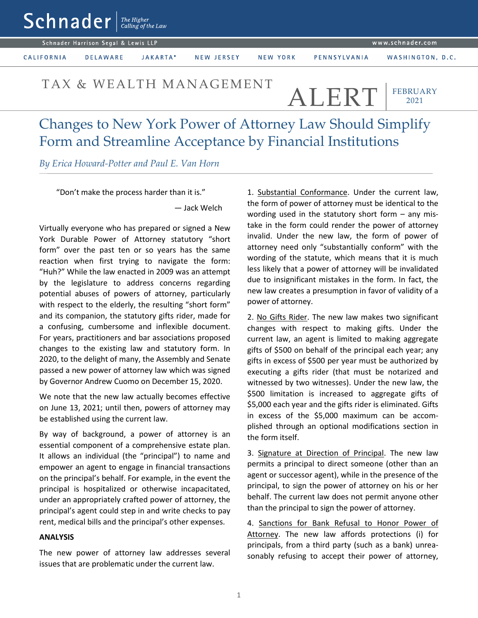|                                     | $\textsf{Sch}$ nader $\textsf{I}$ and $\textsf{C}$ |          |            |          |                  |                  |  |
|-------------------------------------|----------------------------------------------------|----------|------------|----------|------------------|------------------|--|
| Schnader Harrison Segal & Lewis LLP |                                                    |          |            |          | www.schnader.com |                  |  |
| <b>CALIFORNIA</b>                   | <b>DELAWARE</b>                                    | JAKARTA* | NEW JERSEY | NEW YORK | PENNSYLVANIA     | WASHINGTON, D.C. |  |

## TAX & WEALTH MANAGEMENT  $\overline{A I}$ . F.R.T

FEBRUARY 2021

## Changes to New York Power of Attorney Law Should Simplify Form and Streamline Acceptance by Financial Institutions

*By Erica Howard-Potter and Paul E. Van Horn*

"Don't make the process harder than it is."

— Jack Welch

Virtually everyone who has prepared or signed a New York Durable Power of Attorney statutory "short form" over the past ten or so years has the same reaction when first trying to navigate the form: "Huh?" While the law enacted in 2009 was an attempt by the legislature to address concerns regarding potential abuses of powers of attorney, particularly with respect to the elderly, the resulting "short form" and its companion, the statutory gifts rider, made for a confusing, cumbersome and inflexible document. For years, practitioners and bar associations proposed changes to the existing law and statutory form. In 2020, to the delight of many, the Assembly and Senate passed a new power of attorney law which was signed by Governor Andrew Cuomo on December 15, 2020.

We note that the new law actually becomes effective on June 13, 2021; until then, powers of attorney may be established using the current law.

By way of background, a power of attorney is an essential component of a comprehensive estate plan. It allows an individual (the "principal") to name and empower an agent to engage in financial transactions on the principal's behalf. For example, in the event the principal is hospitalized or otherwise incapacitated, under an appropriately crafted power of attorney, the principal's agent could step in and write checks to pay rent, medical bills and the principal's other expenses.

## **ANALYSIS**

The new power of attorney law addresses several issues that are problematic under the current law.

1. Substantial Conformance. Under the current law, the form of power of attorney must be identical to the wording used in the statutory short form – any mistake in the form could render the power of attorney invalid. Under the new law, the form of power of attorney need only "substantially conform" with the wording of the statute, which means that it is much less likely that a power of attorney will be invalidated due to insignificant mistakes in the form. In fact, the new law creates a presumption in favor of validity of a power of attorney.

2. No Gifts Rider. The new law makes two significant changes with respect to making gifts. Under the current law, an agent is limited to making aggregate gifts of \$500 on behalf of the principal each year; any gifts in excess of \$500 per year must be authorized by executing a gifts rider (that must be notarized and witnessed by two witnesses). Under the new law, the \$500 limitation is increased to aggregate gifts of \$5,000 each year and the gifts rider is eliminated. Gifts in excess of the \$5,000 maximum can be accomplished through an optional modifications section in the form itself.

3. Signature at Direction of Principal. The new law permits a principal to direct someone (other than an agent or successor agent), while in the presence of the principal, to sign the power of attorney on his or her behalf. The current law does not permit anyone other than the principal to sign the power of attorney.

4. Sanctions for Bank Refusal to Honor Power of Attorney. The new law affords protections (i) for principals, from a third party (such as a bank) unreasonably refusing to accept their power of attorney,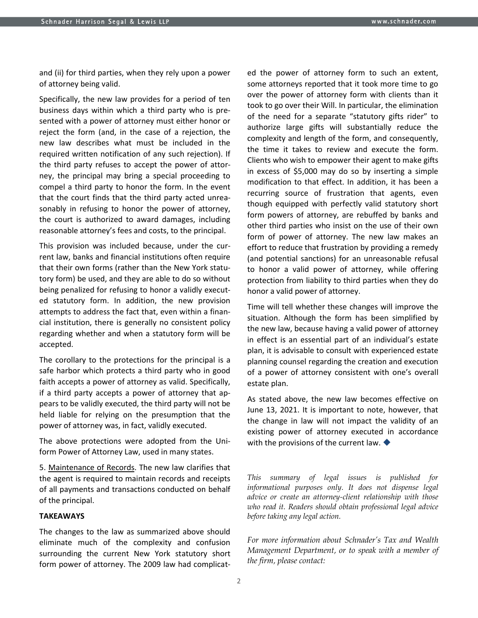and (ii) for third parties, when they rely upon a power of attorney being valid.

Specifically, the new law provides for a period of ten business days within which a third party who is presented with a power of attorney must either honor or reject the form (and, in the case of a rejection, the new law describes what must be included in the required written notification of any such rejection). If the third party refuses to accept the power of attorney, the principal may bring a special proceeding to compel a third party to honor the form. In the event that the court finds that the third party acted unreasonably in refusing to honor the power of attorney, the court is authorized to award damages, including reasonable attorney's fees and costs, to the principal.

This provision was included because, under the current law, banks and financial institutions often require that their own forms (rather than the New York statutory form) be used, and they are able to do so without being penalized for refusing to honor a validly executed statutory form. In addition, the new provision attempts to address the fact that, even within a financial institution, there is generally no consistent policy regarding whether and when a statutory form will be accepted.

The corollary to the protections for the principal is a safe harbor which protects a third party who in good faith accepts a power of attorney as valid. Specifically, if a third party accepts a power of attorney that appears to be validly executed, the third party will not be held liable for relying on the presumption that the power of attorney was, in fact, validly executed.

The above protections were adopted from the Uniform Power of Attorney Law, used in many states.

5. Maintenance of Records. The new law clarifies that the agent is required to maintain records and receipts of all payments and transactions conducted on behalf of the principal.

## **TAKEAWAYS**

The changes to the law as summarized above should eliminate much of the complexity and confusion surrounding the current New York statutory short form power of attorney. The 2009 law had complicated the power of attorney form to such an extent, some attorneys reported that it took more time to go over the power of attorney form with clients than it took to go over their Will. In particular, the elimination of the need for a separate "statutory gifts rider" to authorize large gifts will substantially reduce the complexity and length of the form, and consequently, the time it takes to review and execute the form. Clients who wish to empower their agent to make gifts in excess of \$5,000 may do so by inserting a simple modification to that effect. In addition, it has been a recurring source of frustration that agents, even though equipped with perfectly valid statutory short form powers of attorney, are rebuffed by banks and other third parties who insist on the use of their own form of power of attorney. The new law makes an effort to reduce that frustration by providing a remedy (and potential sanctions) for an unreasonable refusal to honor a valid power of attorney, while offering protection from liability to third parties when they do honor a valid power of attorney.

Time will tell whether these changes will improve the situation. Although the form has been simplified by the new law, because having a valid power of attorney in effect is an essential part of an individual's estate plan, it is advisable to consult with experienced estate planning counsel regarding the creation and execution of a power of attorney consistent with one's overall estate plan.

As stated above, the new law becomes effective on June 13, 2021. It is important to note, however, that the change in law will not impact the validity of an existing power of attorney executed in accordance with the provisions of the current law.  $\blacklozenge$ 

*This summary of legal issues is published for informational purposes only. It does not dispense legal advice or create an attorney-client relationship with those who read it. Readers should obtain professional legal advice before taking any legal action.*

*For more information about Schnader's Tax and Wealth Management Department, or to speak with a member of the firm, please contact:*